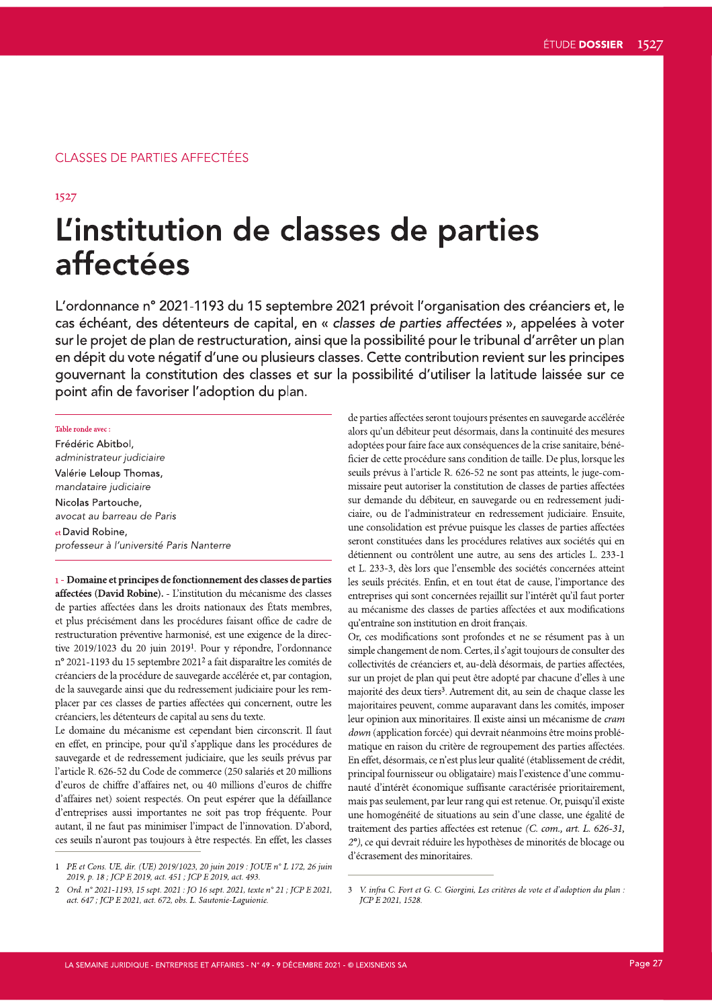### **CLASSES DE PARTIES AFFECTÉES**

1527

# L'institution de classes de parties affectées

L'ordonnance n° 2021-1193 du 15 septembre 2021 prévoit l'organisation des créanciers et, le cas échéant, des détenteurs de capital, en « classes de parties affectées », appelées à voter sur le projet de plan de restructuration, ainsi que la possibilité pour le tribunal d'arrêter un plan en dépit du vote négatif d'une ou plusieurs classes. Cette contribution revient sur les principes gouvernant la constitution des classes et sur la possibilité d'utiliser la latitude laissée sur ce point afin de favoriser l'adoption du plan.

Table ronde avec: Frédéric Abitbol. administrateur judiciaire Valérie Leloup Thomas, mandataire judiciaire Nicolas Partouche, avocat au barreau de Paris et David Robine, professeur à l'université Paris Nanterre

1 - Domaine et principes de fonctionnement des classes de parties affectées (David Robine). - L'institution du mécanisme des classes de parties affectées dans les droits nationaux des États membres, et plus précisément dans les procédures faisant office de cadre de restructuration préventive harmonisé, est une exigence de la directive 2019/1023 du 20 juin 2019<sup>1</sup>. Pour y répondre, l'ordonnance nº 2021-1193 du 15 septembre 2021<sup>2</sup> a fait disparaître les comités de créanciers de la procédure de sauvegarde accélérée et, par contagion, de la sauvegarde ainsi que du redressement judiciaire pour les remplacer par ces classes de parties affectées qui concernent, outre les créanciers, les détenteurs de capital au sens du texte.

Le domaine du mécanisme est cependant bien circonscrit. Il faut en effet, en principe, pour qu'il s'applique dans les procédures de sauvegarde et de redressement judiciaire, que les seuils prévus par l'article R. 626-52 du Code de commerce (250 salariés et 20 millions d'euros de chiffre d'affaires net, ou 40 millions d'euros de chiffre d'affaires net) soient respectés. On peut espérer que la défaillance d'entreprises aussi importantes ne soit pas trop fréquente. Pour autant, il ne faut pas minimiser l'impact de l'innovation. D'abord, ces seuils n'auront pas toujours à être respectés. En effet, les classes

de parties affectées seront toujours présentes en sauvegarde accélérée alors qu'un débiteur peut désormais, dans la continuité des mesures adoptées pour faire face aux conséquences de la crise sanitaire, bénéficier de cette procédure sans condition de taille. De plus, lorsque les seuils prévus à l'article R. 626-52 ne sont pas atteints, le juge-commissaire peut autoriser la constitution de classes de parties affectées sur demande du débiteur, en sauvegarde ou en redressement judiciaire, ou de l'administrateur en redressement judiciaire. Ensuite, une consolidation est prévue puisque les classes de parties affectées seront constituées dans les procédures relatives aux sociétés qui en détiennent ou contrôlent une autre, au sens des articles L. 233-1 et L. 233-3, dès lors que l'ensemble des sociétés concernées atteint les seuils précités. Enfin, et en tout état de cause, l'importance des entreprises qui sont concernées rejaillit sur l'intérêt qu'il faut porter au mécanisme des classes de parties affectées et aux modifications qu'entraîne son institution en droit français.

Or, ces modifications sont profondes et ne se résument pas à un simple changement de nom. Certes, il s'agit toujours de consulter des collectivités de créanciers et, au-delà désormais, de parties affectées, sur un projet de plan qui peut être adopté par chacune d'elles à une majorité des deux tiers<sup>3</sup>. Autrement dit, au sein de chaque classe les majoritaires peuvent, comme auparavant dans les comités, imposer leur opinion aux minoritaires. Il existe ainsi un mécanisme de cram down (application forcée) qui devrait néanmoins être moins problématique en raison du critère de regroupement des parties affectées. En effet, désormais, ce n'est plus leur qualité (établissement de crédit, principal fournisseur ou obligataire) mais l'existence d'une communauté d'intérêt économique suffisante caractérisée prioritairement, mais pas seulement, par leur rang qui est retenue. Or, puisqu'il existe une homogénéité de situations au sein d'une classe, une égalité de traitement des parties affectées est retenue (C. com., art. L. 626-31, 2°), ce qui devrait réduire les hypothèses de minorités de blocage ou d'écrasement des minoritaires.

PE et Cons. UE, dir. (UE) 2019/1023, 20 juin 2019 : JOUE n° L 172, 26 juin 2019, p. 18; JCP E 2019, act. 451; JCP E 2019, act. 493.

Ord. nº 2021-1193, 15 sept. 2021 : JO 16 sept. 2021, texte nº 21 ; JCP E 2021, act. 647; JCP E 2021, act. 672, obs. L. Sautonie-Laguionie.

<sup>3</sup> V. infra C. Fort et G. C. Giorgini, Les critères de vote et d'adoption du plan : JCP E 2021, 1528.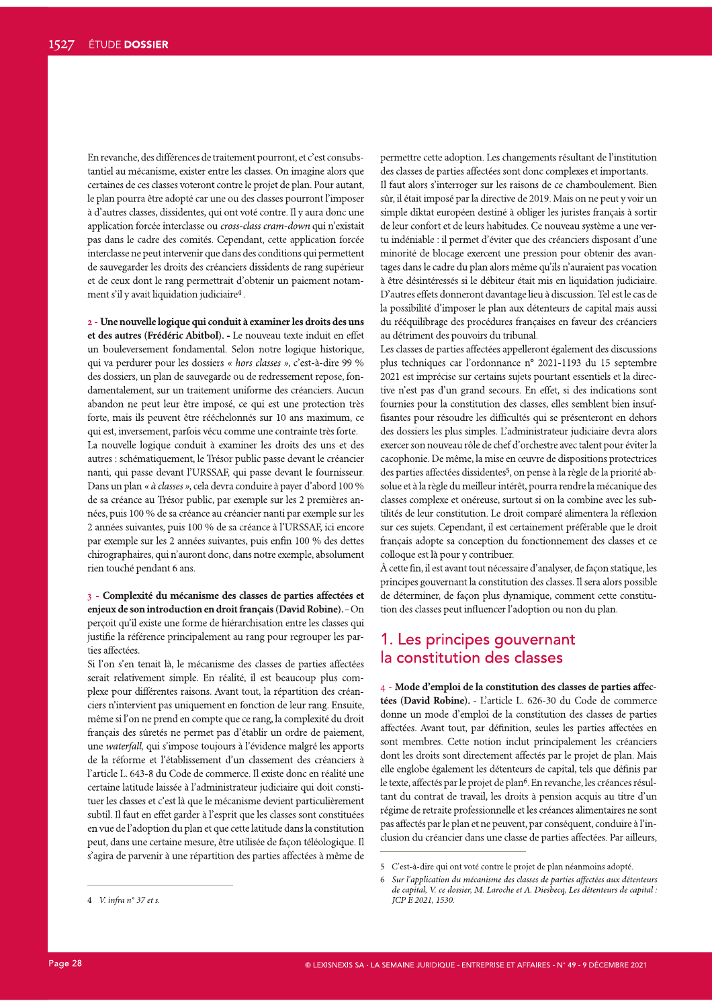En revanche, des différences de traitement pourront, et c'est consubstantiel au mécanisme, exister entre les classes. On imagine alors que certaines de ces classes voteront contre le projet de plan. Pour autant, le plan pourra être adopté car une ou des classes pourront l'imposer à d'autres classes, dissidentes, qui ont voté contre. Il y aura donc une application forcée interclasse ou cross-class cram-down qui n'existait pas dans le cadre des comités. Cependant, cette application forcée interclasse ne peut intervenir que dans des conditions qui permettent de sauvegarder les droits des créanciers dissidents de rang supérieur et de ceux dont le rang permettrait d'obtenir un paiement notamment s'il y avait liquidation judiciaire<sup>4</sup>.

2 - Une nouvelle logique qui conduit à examiner les droits des uns et des autres (Frédéric Abitbol). - Le nouveau texte induit en effet un bouleversement fondamental. Selon notre logique historique, qui va perdurer pour les dossiers « hors classes », c'est-à-dire 99 % des dossiers, un plan de sauvegarde ou de redressement repose, fondamentalement, sur un traitement uniforme des créanciers. Aucun abandon ne peut leur être imposé, ce qui est une protection très forte, mais ils peuvent être rééchelonnés sur 10 ans maximum, ce qui est, inversement, parfois vécu comme une contrainte très forte. La nouvelle logique conduit à examiner les droits des uns et des autres : schématiquement, le Trésor public passe devant le créancier nanti, qui passe devant l'URSSAF, qui passe devant le fournisseur. Dans un plan « à classes », cela devra conduire à payer d'abord 100 % de sa créance au Trésor public, par exemple sur les 2 premières années, puis 100 % de sa créance au créancier nanti par exemple sur les 2 années suivantes, puis 100 % de sa créance à l'URSSAF, ici encore par exemple sur les 2 années suivantes, puis enfin 100 % des dettes chirographaires, qui n'auront donc, dans notre exemple, absolument rien touché pendant 6 ans.

3 - Complexité du mécanisme des classes de parties affectées et enjeux de son introduction en droit français (David Robine). - On perçoit qu'il existe une forme de hiérarchisation entre les classes qui justifie la référence principalement au rang pour regrouper les parties affectées.

Si l'on s'en tenait là, le mécanisme des classes de parties affectées serait relativement simple. En réalité, il est beaucoup plus complexe pour différentes raisons. Avant tout, la répartition des créanciers n'intervient pas uniquement en fonction de leur rang. Ensuite, même si l'on ne prend en compte que ce rang, la complexité du droit français des sûretés ne permet pas d'établir un ordre de paiement, une waterfall, qui s'impose toujours à l'évidence malgré les apports de la réforme et l'établissement d'un classement des créanciers à L'article L. 643-8 du Code de commerce. Il existe donc en réalité une certaine latitude laissée à l'administrateur judiciaire qui doit constituer les classes et c'est là que le mécanisme devient particulièrement subtil. Il faut en effet garder à l'esprit que les classes sont constituées en vue de l'adoption du plan et que cette latitude dans la constitution peut, dans une certaine mesure, être utilisée de façon téléologique. Il s'agira de parvenir à une répartition des parties affectées à même de permettre cette adoption. Les changements résultant de l'institution des classes de parties affectées sont donc complexes et importants.

Il faut alors s'interroger sur les raisons de ce chamboulement. Bien sûr, il était imposé par la directive de 2019. Mais on ne peut y voir un simple diktat européen destiné à obliger les juristes français à sortir de leur confort et de leurs habitudes. Ce nouveau système a une vertu indéniable : il permet d'éviter que des créanciers disposant d'une minorité de blocage exercent une pression pour obtenir des avantages dans le cadre du plan alors même qu'ils n'auraient pas vocation à être désintéressés si le débiteur était mis en liquidation judiciaire. D'autres effets donneront davantage lieu à discussion. Tel est le cas de la possibilité d'imposer le plan aux détenteurs de capital mais aussi du rééquilibrage des procédures françaises en faveur des créanciers au détriment des pouvoirs du tribunal.

Les classes de parties affectées appelleront également des discussions plus techniques car l'ordonnance n° 2021-1193 du 15 septembre 2021 est imprécise sur certains sujets pourtant essentiels et la directive n'est pas d'un grand secours. En effet, si des indications sont fournies pour la constitution des classes, elles semblent bien insuffisantes pour résoudre les difficultés qui se présenteront en dehors des dossiers les plus simples. L'administrateur judiciaire devra alors exercer son nouveau rôle de chef d'orchestre avec talent pour éviter la cacophonie. De même, la mise en œuvre de dispositions protectrices des parties affectées dissidentes<sup>5</sup>, on pense à la règle de la priorité absolue et à la règle du meilleur intérêt, pourra rendre la mécanique des classes complexe et onéreuse, surtout si on la combine avec les subtilités de leur constitution. Le droit comparé alimentera la réflexion sur ces sujets. Cependant, il est certainement préférable que le droit français adopte sa conception du fonctionnement des classes et ce colloque est là pour y contribuer.

À cette fin, il est avant tout nécessaire d'analyser, de façon statique, les principes gouvernant la constitution des classes. Il sera alors possible de déterminer, de façon plus dynamique, comment cette constitution des classes peut influencer l'adoption ou non du plan.

### 1. Les principes gouvernant la constitution des classes

4 - Mode d'emploi de la constitution des classes de parties affectées (David Robine). - L'article L. 626-30 du Code de commerce donne un mode d'emploi de la constitution des classes de parties affectées. Avant tout, par définition, seules les parties affectées en sont membres. Cette notion inclut principalement les créanciers dont les droits sont directement affectés par le projet de plan. Mais elle englobe également les détenteurs de capital, tels que définis par le texte, affectés par le projet de plan<sup>6</sup>. En revanche, les créances résultant du contrat de travail, les droits à pension acquis au titre d'un régime de retraite professionnelle et les créances alimentaires ne sont pas affectés par le plan et ne peuvent, par conséquent, conduire à l'inclusion du créancier dans une classe de parties affectées. Par ailleurs,

<sup>5</sup> C'est-à-dire qui ont voté contre le projet de plan néanmoins adopté.

 $\frac{1}{2}$   $\frac{1}{2}$   $\frac{1}{2}$   $\frac{1}{2}$   $\frac{1}{2}$   $\frac{1}{2}$   $\frac{1}{2}$   $\frac{1}{2}$   $\frac{1}{2}$   $\frac{1}{2}$   $\frac{1}{2}$   $\frac{1}{2}$   $\frac{1}{2}$   $\frac{1}{2}$   $\frac{1}{2}$   $\frac{1}{2}$   $\frac{1}{2}$   $\frac{1}{2}$   $\frac{1}{2}$   $\frac{1}{2}$   $\frac{1}{2}$   $\frac{1}{2}$  Sur l'application du mécanisme des classes de parties affectées aux détenteurs de capital, V. ce dossier, M. Laroche et A. Diesbecq, Les détenteurs de capital :  $ICP$  $E$  2021, 1530.

<sup>4</sup> V. infra  $n°$  37 et s.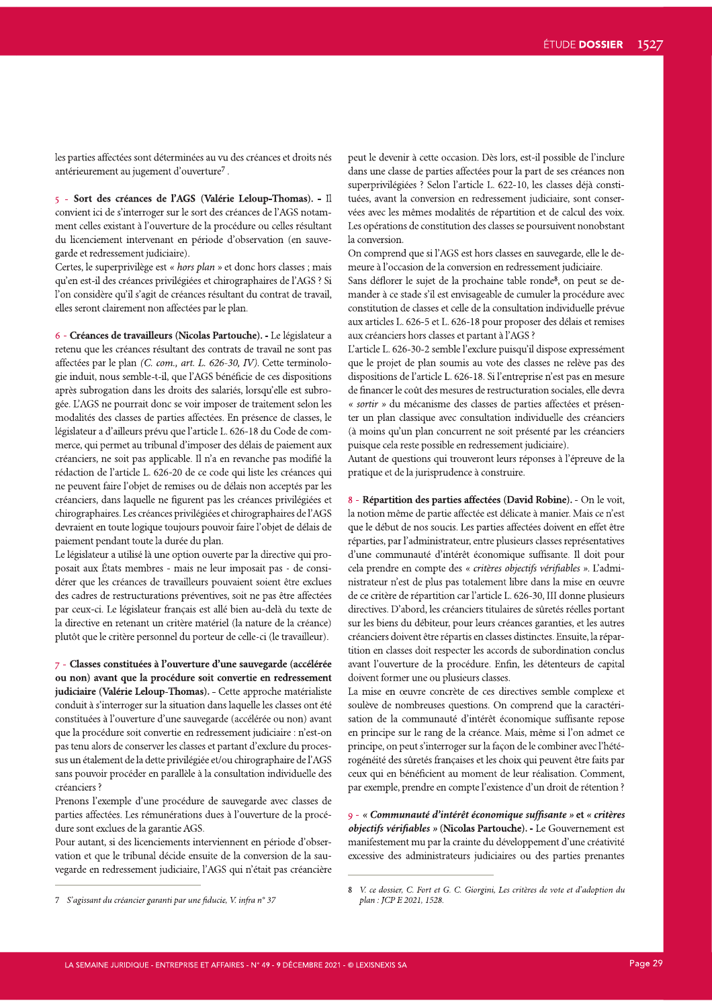les parties affectées sont déterminées au vu des créances et droits nés antérieurement au jugement d'ouverture<sup>7</sup>.

5 - Sort des créances de l'AGS (Valérie Leloup-Thomas). - Il convient ici de s'interroger sur le sort des créances de l'AGS notamment celles existant à l'ouverture de la procédure ou celles résultant du licenciement intervenant en période d'observation (en sauvegarde et redressement judiciaire).

Certes, le superprivilège est « hors plan » et donc hors classes ; mais qu'en est-il des créances privilégiées et chirographaires de l'AGS ? Si l'on considère qu'il s'agit de créances résultant du contrat de travail, elles seront clairement non affectées par le plan.

6 - Créances de travailleurs (Nicolas Partouche). - Le législateur a retenu que les créances résultant des contrats de travail ne sont pas affectées par le plan (C. com., art. L. 626-30, IV). Cette terminologie induit, nous semble-t-il, que l'AGS bénéficie de ces dispositions après subrogation dans les droits des salariés, lorsqu'elle est subrogée. L'AGS ne pourrait donc se voir imposer de traitement selon les modalités des classes de parties affectées. En présence de classes, le législateur a d'ailleurs prévu que l'article L. 626-18 du Code de commerce, qui permet au tribunal d'imposer des délais de paiement aux créanciers, ne soit pas applicable. Il n'a en revanche pas modifié la rédaction de l'article L. 626-20 de ce code qui liste les créances qui ne peuvent faire l'objet de remises ou de délais non acceptés par les créanciers, dans laquelle ne figurent pas les créances privilégiées et chirographaires. Les créances privilégiées et chirographaires de l'AGS devraient en toute logique toujours pouvoir faire l'objet de délais de paiement pendant toute la durée du plan.

Le législateur a utilisé là une option ouverte par la directive qui proposait aux États membres - mais ne leur imposait pas - de considérer que les créances de travailleurs pouvaient soient être exclues des cadres de restructurations préventives, soit ne pas être affectées par ceux-ci. Le législateur français est allé bien au-delà du texte de la directive en retenant un critère matériel (la nature de la créance) plutôt que le critère personnel du porteur de celle-ci (le travailleur).

7 - Classes constituées à l'ouverture d'une sauvegarde (accélérée ou non) avant que la procédure soit convertie en redressement judiciaire (Valérie Leloup-Thomas). - Cette approche matérialiste conduit à s'interroger sur la situation dans laquelle les classes ont été constituées à l'ouverture d'une sauvegarde (accélérée ou non) avant que la procédure soit convertie en redressement judiciaire : n'est-on pas tenu alors de conserver les classes et partant d'exclure du processus un étalement de la dette privilégiée et/ou chirographaire de l'AGS sans pouvoir procéder en parallèle à la consultation individuelle des créanciers ?

Prenons l'exemple d'une procédure de sauvegarde avec classes de parties affectées. Les rémunérations dues à l'ouverture de la procédure sont exclues de la garantie AGS.

Pour autant, si des licenciements interviennent en période d'observation et que le tribunal décide ensuite de la conversion de la sauvegarde en redressement judiciaire, l'AGS qui n'était pas créancière peut le devenir à cette occasion. Dès lors, est-il possible de l'inclure dans une classe de parties affectées pour la part de ses créances non superprivilégiées ? Selon l'article L. 622-10, les classes déjà constituées, avant la conversion en redressement judiciaire, sont conservées avec les mêmes modalités de répartition et de calcul des voix. Les opérations de constitution des classes se poursuivent nonobstant la conversion.

On comprend que si l'AGS est hors classes en sauvegarde, elle le demeure à l'occasion de la conversion en redressement judiciaire.

Sans déflorer le sujet de la prochaine table ronde<sup>8</sup>, on peut se demander à ce stade s'il est envisageable de cumuler la procédure avec constitution de classes et celle de la consultation individuelle prévue aux articles L. 626-5 et L. 626-18 pour proposer des délais et remises aux créanciers hors classes et partant à l'AGS ?

L'article L. 626-30-2 semble l'exclure puisqu'il dispose expressément que le projet de plan soumis au vote des classes ne relève pas des dispositions de l'article L. 626-18. Si l'entreprise n'est pas en mesure de financer le coût des mesures de restructuration sociales, elle devra « sortir » du mécanisme des classes de parties affectées et présenter un plan classique avec consultation individuelle des créanciers (à moins qu'un plan concurrent ne soit présenté par les créanciers puisque cela reste possible en redressement judiciaire).

Autant de questions qui trouveront leurs réponses à l'épreuve de la pratique et de la jurisprudence à construire.

8 - Répartition des parties affectées (David Robine). - On le voit, la notion même de partie affectée est délicate à manier. Mais ce n'est que le début de nos soucis. Les parties affectées doivent en effet être réparties, par l'administrateur, entre plusieurs classes représentatives d'une communauté d'intérêt économique suffisante. Il doit pour cela prendre en compte des « critères objectifs vérifiables ». L'administrateur n'est de plus pas totalement libre dans la mise en œuvre de ce critère de répartition car l'article L. 626-30, III donne plusieurs directives. D'abord, les créanciers titulaires de sûretés réelles portant sur les biens du débiteur, pour leurs créances garanties, et les autres créanciers doivent être répartis en classes distinctes. Ensuite, la répartition en classes doit respecter les accords de subordination conclus avant l'ouverture de la procédure. Enfin, les détenteurs de capital doivent former une ou plusieurs classes.

La mise en œuvre concrète de ces directives semble complexe et soulève de nombreuses questions. On comprend que la caractérisation de la communauté d'intérêt économique suffisante repose en principe sur le rang de la créance. Mais, même si l'on admet ce principe, on peut s'interroger sur la façon de le combiner avec l'hétérogénéité des sûretés françaises et les choix qui peuvent être faits par ceux qui en bénéficient au moment de leur réalisation. Comment, par exemple, prendre en compte l'existence d'un droit de rétention ?

9 - « Communauté d'intérêt économique suffisante » et « critères objectifs vérifiables » (Nicolas Partouche). - Le Gouvernement est manifestement mu par la crainte du développement d'une créativité excessive des administrateurs judiciaires ou des parties prenantes

<sup>7</sup> S'agissant du créancier garanti par une fiducie, V. infra n° 37

<sup>8</sup> V. ce dossier, C. Fort et G. C. Giorgini, Les critères de vote et d'adoption du plan: JCP E 2021, 1528.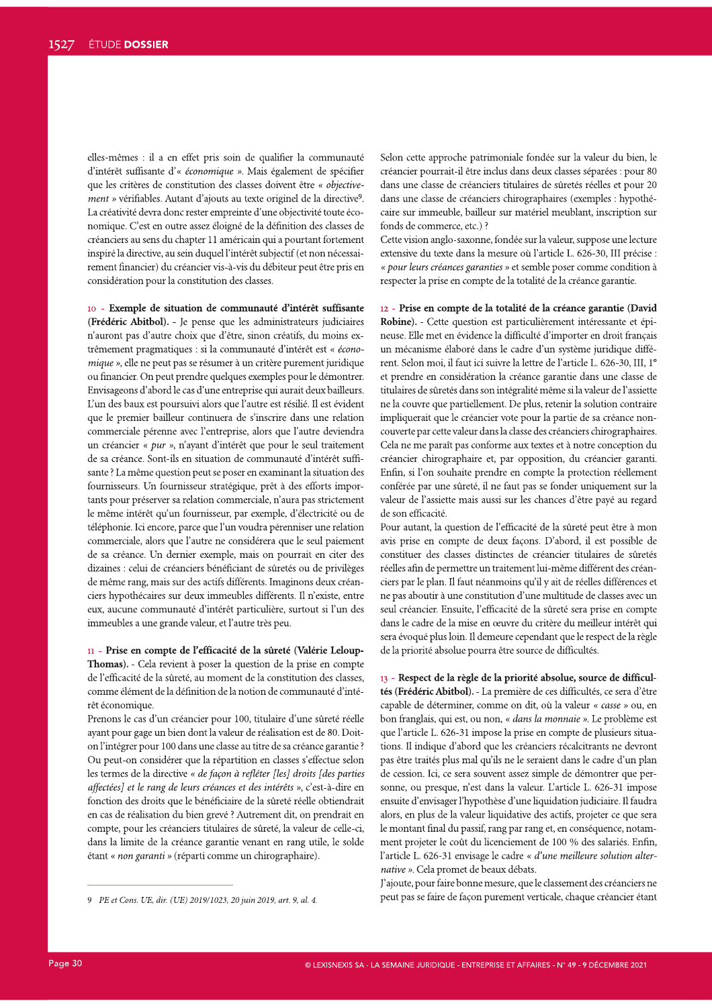elles-mêmes : il a en effet pris soin de qualifier la communauté d'intérêt suffisante d'« économique ». Mais également de spécifier que les critères de constitution des classes doivent être « objectivement » vérifiables. Autant d'ajouts au texte originel de la directive9. La créativité devra donc rester empreinte d'une objectivité toute économique. C'est en outre assez éloigné de la définition des classes de créanciers au sens du chapter 11 américain qui a pourtant fortement inspiré la directive, au sein duquel l'intérêt subjectif (et non nécessairement financier) du créancier vis-à-vis du débiteur peut être pris en considération pour la constitution des classes.

10 - Exemple de situation de communauté d'intérêt suffisante (Frédéric Abitbol). - Je pense que les administrateurs judiciaires n'auront pas d'autre choix que d'être, sinon créatifs, du moins extrêmement pragmatiques : si la communauté d'intérêt est « économique », elle ne peut pas se résumer à un critère purement juridique ou financier. On peut prendre quelques exemples pour le démontrer. Envisageons d'abord le cas d'une entreprise qui aurait deux bailleurs. L'un des baux est poursuivi alors que l'autre est résilié. Il est évident que le premier bailleur continuera de s'inscrire dans une relation commerciale pérenne avec l'entreprise, alors que l'autre deviendra un créancier « pur », n'ayant d'intérêt que pour le seul traitement de sa créance. Sont-ils en situation de communauté d'intérêt suffisante ? La même question peut se poser en examinant la situation des fournisseurs. Un fournisseur stratégique, prêt à des efforts importants pour préserver sa relation commerciale, n'aura pas strictement le même intérêt qu'un fournisseur, par exemple, d'électricité ou de téléphonie. Ici encore, parce que l'un voudra pérenniser une relation commerciale, alors que l'autre ne considérera que le seul paiement de sa créance. Un dernier exemple, mais on pourrait en citer des dizaines : celui de créanciers bénéficiant de sûretés ou de privilèges de même rang, mais sur des actifs différents. Imaginons deux créanciers hypothécaires sur deux immeubles différents. Il n'existe, entre eux, aucune communauté d'intérêt particulière, surtout si l'un des immeubles a une grande valeur, et l'autre très peu.

11 - Prise en compte de l'efficacité de la sûreté (Valérie Leloup-Thomas). - Cela revient à poser la question de la prise en compte de l'efficacité de la sûreté, au moment de la constitution des classes, comme élément de la définition de la notion de communauté d'intérêt économique.

Prenons le cas d'un créancier pour 100, titulaire d'une sûreté réelle ayant pour gage un bien dont la valeur de réalisation est de 80. Doiton l'intégrer pour 100 dans une classe au titre de sa créance garantie ? Ou peut-on considérer que la répartition en classes s'effectue selon les termes de la directive « de façon à refléter [les] droits [des parties affectées] et le rang de leurs créances et des intérêts », c'est-à-dire en fonction des droits que le bénéficiaire de la sûreté réelle obtiendrait en cas de réalisation du bien grevé ? Autrement dit, on prendrait en compte, pour les créanciers titulaires de sûreté, la valeur de celle-ci, dans la limite de la créance garantie venant en rang utile, le solde étant « non garanti » (réparti comme un chirographaire).

9 PE et Cons. UE, dir. (UE) 2019/1023, 20 juin 2019, art. 9, al. 4.

Selon cette approche patrimoniale fondée sur la valeur du bien, le créancier pourrait-il être inclus dans deux classes séparées : pour 80 dans une classe de créanciers titulaires de sûretés réelles et pour 20 dans une classe de créanciers chirographaires (exemples : hypothécaire sur immeuble, bailleur sur matériel meublant, inscription sur fonds de commerce, etc.) ?

Cette vision anglo-saxonne, fondée sur la valeur, suppose une lecture extensive du texte dans la mesure où l'article L. 626-30, III précise : « pour leurs créances garanties » et semble poser comme condition à respecter la prise en compte de la totalité de la créance garantie.

12 - Prise en compte de la totalité de la créance garantie (David Robine). - Cette question est particulièrement intéressante et épineuse. Elle met en évidence la difficulté d'importer en droit français un mécanisme élaboré dans le cadre d'un système juridique différent. Selon moi, il faut ici suivre la lettre de l'article L. 626-30, III, 1° et prendre en considération la créance garantie dans une classe de titulaires de sûretés dans son intégralité même si la valeur de l'assiette ne la couvre que partiellement. De plus, retenir la solution contraire impliquerait que le créancier vote pour la partie de sa créance noncouverte par cette valeur dans la classe des créanciers chirographaires. Cela ne me paraît pas conforme aux textes et à notre conception du créancier chirographaire et, par opposition, du créancier garanti. Enfin, si l'on souhaite prendre en compte la protection réellement conférée par une sûreté, il ne faut pas se fonder uniquement sur la valeur de l'assiette mais aussi sur les chances d'être payé au regard de son efficacité.

Pour autant, la question de l'efficacité de la sûreté peut être à mon avis prise en compte de deux façons. D'abord, il est possible de constituer des classes distinctes de créancier titulaires de sûretés réelles afin de permettre un traitement lui-même différent des créanciers par le plan. Il faut néanmoins qu'il y ait de réelles différences et ne pas aboutir à une constitution d'une multitude de classes avec un seul créancier. Ensuite, l'efficacité de la sûreté sera prise en compte dans le cadre de la mise en œuvre du critère du meilleur intérêt qui sera évoqué plus loin. Il demeure cependant que le respect de la règle de la priorité absolue pourra être source de difficultés.

13 - Respect de la règle de la priorité absolue, source de difficultés (Frédéric Abitbol). - La première de ces difficultés, ce sera d'être capable de déterminer, comme on dit, où la valeur « *casse* » ou, en bon franglais, qui est, ou non, « dans la monnaie ». Le problème est que l'article L. 626-31 impose la prise en compte de plusieurs situations. Il indique d'abord que les créanciers récalcitrants ne devront pas être traités plus mal qu'ils ne le seraient dans le cadre d'un plan de cession. Ici, ce sera souvent assez simple de démontrer que personne, ou presque, n'est dans la valeur. L'article L. 626-31 impose ensuite d'envisager l'hypothèse d'une liquidation judiciaire. Il faudra alors, en plus de la valeur liquidative des actifs, projeter ce que sera le montant final du passif, rang par rang et, en conséquence, notamment projeter le coût du licenciement de 100 % des salariés. Enfin, l'article L. 626-31 envisage le cadre « d'une meilleure solution alternative ». Cela promet de beaux débats.

J'ajoute, pour faire bonne mesure, que le classement des créanciers ne peut pas se faire de façon purement verticale, chaque créancier étant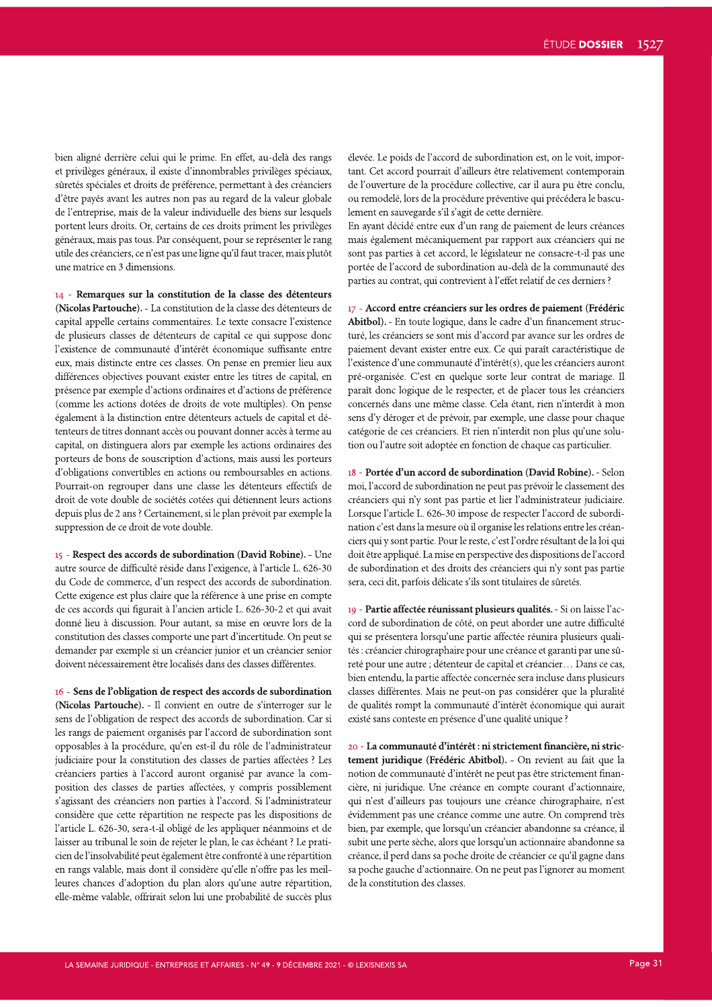bien aligné derrière celui qui le prime. En effet, au-delà des rangs et privilèges généraux, il existe d'innombrables privilèges spéciaux, sûretés spéciales et droits de préférence, permettant à des créanciers d'être payés avant les autres non pas au regard de la valeur globale de l'entreprise, mais de la valeur individuelle des biens sur lesquels portent leurs droits. Or, certains de ces droits priment les privilèges généraux, mais pas tous. Par conséquent, pour se représenter le rang utile des créanciers, ce n'est pas une ligne qu'il faut tracer, mais plutôt une matrice en 3 dimensions.

14 - Remarques sur la constitution de la classe des détenteurs (Nicolas Partouche). - La constitution de la classe des détenteurs de capital appelle certains commentaires. Le texte consacre l'existence de plusieurs classes de détenteurs de capital ce qui suppose donc l'existence de communauté d'intérêt économique suffisante entre eux, mais distincte entre ces classes. On pense en premier lieu aux différences objectives pouvant exister entre les titres de capital, en présence par exemple d'actions ordinaires et d'actions de préférence (comme les actions dotées de droits de vote multiples). On pense également à la distinction entre détenteurs actuels de capital et détenteurs de titres donnant accès ou pouvant donner accès à terme au capital, on distinguera alors par exemple les actions ordinaires des porteurs de bons de souscription d'actions, mais aussi les porteurs d'obligations convertibles en actions ou remboursables en actions. Pourrait-on regrouper dans une classe les détenteurs effectifs de droit de vote double de sociétés cotées qui détiennent leurs actions depuis plus de 2 ans ? Certainement, si le plan prévoit par exemple la suppression de ce droit de vote double.

15 - Respect des accords de subordination (David Robine). - Une autre source de difficulté réside dans l'exigence, à l'article L. 626-30 du Code de commerce, d'un respect des accords de subordination. Cette exigence est plus claire que la référence à une prise en compte de ces accords qui figurait à l'ancien article L. 626-30-2 et qui avait donné lieu à discussion. Pour autant, sa mise en œuvre lors de la constitution des classes comporte une part d'incertitude. On peut se demander par exemple si un créancier junior et un créancier senior doivent nécessairement être localisés dans des classes différentes.

16 - Sens de l'obligation de respect des accords de subordination (Nicolas Partouche). - Il convient en outre de s'interroger sur le sens de l'obligation de respect des accords de subordination. Car si les rangs de paiement organisés par l'accord de subordination sont opposables à la procédure, qu'en est-il du rôle de l'administrateur judiciaire pour la constitution des classes de parties affectées ? Les créanciers parties à l'accord auront organisé par avance la composition des classes de parties affectées, y compris possiblement s'agissant des créanciers non parties à l'accord. Si l'administrateur considère que cette répartition ne respecte pas les dispositions de l'article L. 626-30, sera-t-il obligé de les appliquer néanmoins et de laisser au tribunal le soin de rejeter le plan, le cas échéant ? Le praticien de l'insolvabilité peut également être confronté à une répartition en rangs valable, mais dont il considère qu'elle n'offre pas les meilleures chances d'adoption du plan alors qu'une autre répartition, elle-même valable, offrirait selon lui une probabilité de succès plus

élevée. Le poids de l'accord de subordination est, on le voit, important. Cet accord pourrait d'ailleurs être relativement contemporain de l'ouverture de la procédure collective, car il aura pu être conclu, ou remodelé, lors de la procédure préventive qui précédera le basculement en sauvegarde s'il s'agit de cette dernière.

En ayant décidé entre eux d'un rang de paiement de leurs créances mais également mécaniquement par rapport aux créanciers qui ne sont pas parties à cet accord, le législateur ne consacre-t-il pas une portée de l'accord de subordination au-delà de la communauté des parties au contrat, qui contrevient à l'effet relatif de ces derniers ?

17 - Accord entre créanciers sur les ordres de paiement (Frédéric Abitbol). - En toute logique, dans le cadre d'un financement structuré, les créanciers se sont mis d'accord par avance sur les ordres de paiement devant exister entre eux. Ce qui paraît caractéristique de l'existence d'une communauté d'intérêt(s), que les créanciers auront pré-organisée. C'est en quelque sorte leur contrat de mariage. Il paraît donc logique de le respecter, et de placer tous les créanciers concernés dans une même classe. Cela étant, rien n'interdit à mon sens d'y déroger et de prévoir, par exemple, une classe pour chaque catégorie de ces créanciers. Et rien n'interdit non plus qu'une solution ou l'autre soit adoptée en fonction de chaque cas particulier.

18 - Portée d'un accord de subordination (David Robine). - Selon moi, l'accord de subordination ne peut pas prévoir le classement des créanciers qui n'y sont pas partie et lier l'administrateur judiciaire. Lorsque l'article L. 626-30 impose de respecter l'accord de subordination c'est dans la mesure où il organise les relations entre les créanciers qui y sont partie. Pour le reste, c'est l'ordre résultant de la loi qui doit être appliqué. La mise en perspective des dispositions de l'accord de subordination et des droits des créanciers qui n'y sont pas partie sera, ceci dit, parfois délicate s'ils sont titulaires de sûretés.

19 - Partie affectée réunissant plusieurs qualités. - Si on laisse l'accord de subordination de côté, on peut aborder une autre difficulté qui se présentera lorsqu'une partie affectée réunira plusieurs qualités : créancier chirographaire pour une créance et garanti par une sûreté pour une autre ; détenteur de capital et créancier... Dans ce cas, bien entendu, la partie affectée concernée sera incluse dans plusieurs classes différentes. Mais ne peut-on pas considérer que la pluralité de qualités rompt la communauté d'intérêt économique qui aurait existé sans conteste en présence d'une qualité unique ?

20 - La communauté d'intérêt : ni strictement financière, ni strictement juridique (Frédéric Abitbol). - On revient au fait que la notion de communauté d'intérêt ne peut pas être strictement financière, ni juridique. Une créance en compte courant d'actionnaire, qui n'est d'ailleurs pas toujours une créance chirographaire, n'est évidemment pas une créance comme une autre. On comprend très bien, par exemple, que lorsqu'un créancier abandonne sa créance, il subit une perte sèche, alors que lorsqu'un actionnaire abandonne sa créance, il perd dans sa poche droite de créancier ce qu'il gagne dans sa poche gauche d'actionnaire. On ne peut pas l'ignorer au moment de la constitution des classes.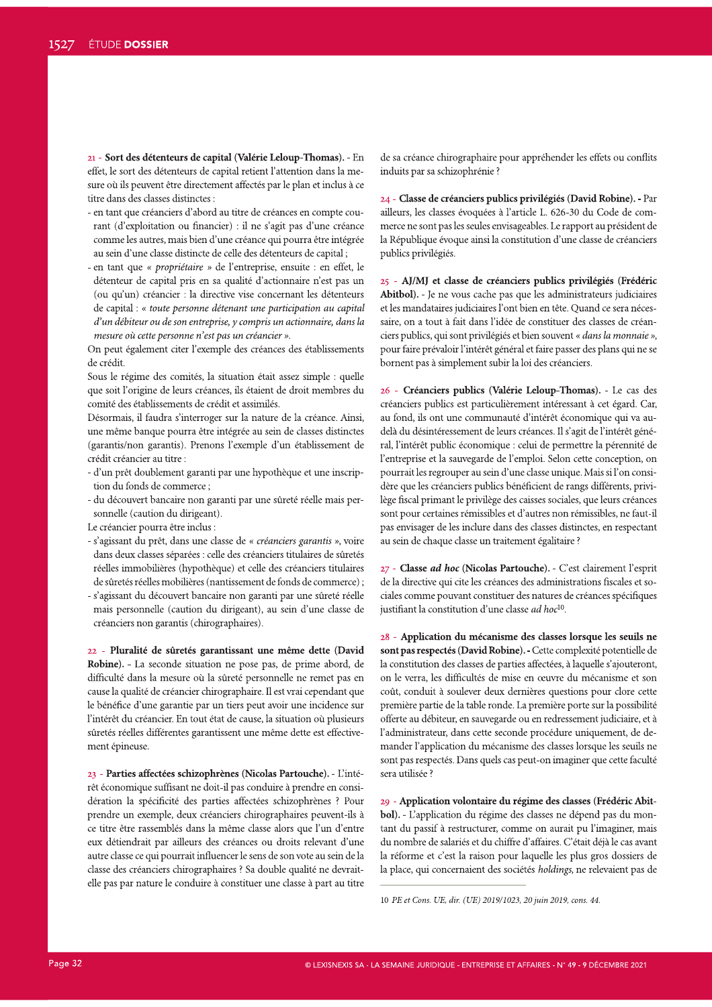21 - Sort des détenteurs de capital (Valèrie Leloup-Thomas). - En effet, le sort des détenteurs de capital retient l'attention dans la mesure où ils peuvent être directement affectés par le plan et inclus à ce titre dans des classes distinctes :

- en tant que créanciers d'abord au titre de créances en compte courant (d'exploitation ou financier) : il ne s'agit pas d'une créance comme les autres, mais bien d'une créance qui pourra être intégrée au sein d'une classe distincte de celle des détenteurs de capital;
- en tant que « propriétaire » de l'entreprise, ensuite : en effet, le détenteur de capital pris en sa qualité d'actionnaire n'est pas un (ou qu'un) créancier : la directive vise concernant les détenteurs de capital : « toute personne détenant une participation au capital  $d<sup>3</sup>$ un débiteur ou de son entreprise, y compris un actionnaire, dans la mesure où cette personne n'est pas un créancier ».

On peut également citer l'exemple des créances des établissements de crédit.

Sous le régime des comités, la situation était assez simple : quelle que soit l'origine de leurs créances, ils étaient de droit membres du  $\overline{\text{comit\'e}}$  des établissements de crédit et assimilés.

Désormais, il faudra s'interroger sur la nature de la créance. Ainsi, une même banque pourra être intégrée au sein de classes distinctes (garantis/non garantis). Prenons l'exemple d'un établissement de crédit créancier au titre :

- d'un prêt doublement garanti par une hypothèque et une inscription du fonds de commerce;
- du découvert bancaire non garanti par une sûreté réelle mais personnelle (caution du dirigeant).
- Le créancier pourra être inclus :
- s'agissant du prêt, dans une classe de « créanciers garantis », voire dans deux classes séparées : celle des créanciers titulaires de sûretés réelles immobilières (hypothèque) et celle des créanciers titulaires de sûretés réelles mobilières (nantissement de fonds de commerce);
- s'agissant du découvert bancaire non garanti par une sûreté réelle mais personnelle (caution du dirigeant), au sein d'une classe de créanciers non garantis (chirographaires).

22 - Pluralité de süretés garantissant une même dette (David Robine). - La seconde situation ne pose pas, de prime abord, de difficulté dans la mesure où la sûreté personnelle ne remet pas en cause la qualité de créancier chirographaire. Il est vrai cependant que le bénéfice d'une garantie par un tiers peut avoir une incidence sur l'intérêt du créancier. En tout état de cause, la situation où plusieurs sûretés réelles différentes garantissent une même dette est effectivement épineuse.

23 - Parties affectées schizophrénes (Nicolas Partouche). - L'intérêt économique suffisant ne doit-il pas conduire à prendre en considération la spécificité des parties affectées schizophrènes ? Pour prendre un exemple, deux créanciers chirographaires peuvent-ils à ce titre être rassemblés dans la même classe alors que l'un d'entre eux détiendrait par ailleurs des créances ou droits relevant d'une autre classe ce qui pourrait influencer le sens de son vote au sein de la classe des créanciers chirographaires ? Sa double qualité ne devraitelle pas par nature le conduire à constituer une classe à part au titre

de sa créance chirographaire pour appréhender les effets ou conflits induits par sa schizophrénie ?

24 - Classe de creanciers publics privilégies (David Robine). - Par ailleurs, les classes évoquées à l'article L. 626-30 du Code de commerce ne sont pas les seules envisageables. Le rapport au président de la République évoque ainsi la constitution d'une classe de créanciers publics privilégiés.

25 - AJ/MJ et classe de créanciers publics privilégiés (Frédéric Abitbol). - Je ne vous cache pas que les administrateurs judiciaires et les mandataires judiciaires l'ont bien en tête. Quand ce sera nécessaire, on a tout à fait dans l'idée de constituer des classes de créan- $\overline{u}$ ciers publics, qui sont privilégiés et bien souvent « *dans la monnaie* », pour faire prévaloir l'intérêt général et faire passer des plans qui ne se bornent pas à simplement subir la loi des créanciers.

26 - Créanciers publics (Valèrie Leloup-Thomas). - Le cas des créanciers publics est particulièrement intéressant à cet égard. Car, au fond, ils ont une communauté d'intérêt économique qui va audelà du désintéressement de leurs créances. Il s'agit de l'intérêt général, l'intérêt public économique : celui de permettre la pérennité de l'entreprise et la sauvegarde de l'emploi. Selon cette conception, on pourrait les regrouper au sein d'une classe unique. Mais si l'on considère que les créanciers publics bénéficient de rangs différents, privilège fiscal primant le privilège des caisses sociales, que leurs créances sont pour certaines rémissibles et d'autres non rémissibles, ne faut-il pas envisager de les inclure dans des classes distinctes, en respectant au sein de chaque classe un traitement égalitaire ?

27 - **Classe** *ad hoc* **(Nicolas Partouche). -** C'est clairement l'esprit de la directive qui cite les créances des administrations fiscales et so- $\alpha$ ciales comme pouvant constituer des natures de créances spécifiques justifiant la constitution d'une classe ad hoc<sup>10</sup>.

28 - Application du mécanisme des classes lorsque les seuils ne sont pas respectés (David Robine). - Cette complexité potentielle de la constitution des classes de parties affectées, à laquelle s'ajouteront, on le verra, les difficultés de mise en œuvre du mécanisme et son coût, conduit à soulever deux dernières questions pour clore cette première partie de la table ronde. La première porte sur la possibilité offerte au débiteur, en sauvegarde ou en redressement judiciaire, et à l'administrateur, dans cette seconde procédure uniquement, de demander l'application du mécanisme des classes lorsque les seuils ne sont pas respectés. Dans quels cas peut-on imaginer que cette faculté sera utilisée ?

29 - Application volontaire du régime des classes (Frédéric Abitbol). - L'application du régime des classes ne dépend pas du montant du passif à restructurer, comme on aurait pu l'imaginer, mais du nombre de salariés et du chiffre d'affaires. C'était déjà le cas avant la réforme et c'est la raison pour laquelle les plus gros dossiers de la place, qui concernaient des sociétés holdings, ne relevaient pas de

<sup>10</sup> PE et Cons. UE, dir. (UE) 2019/1023, 20 juin 2019, cons. 44.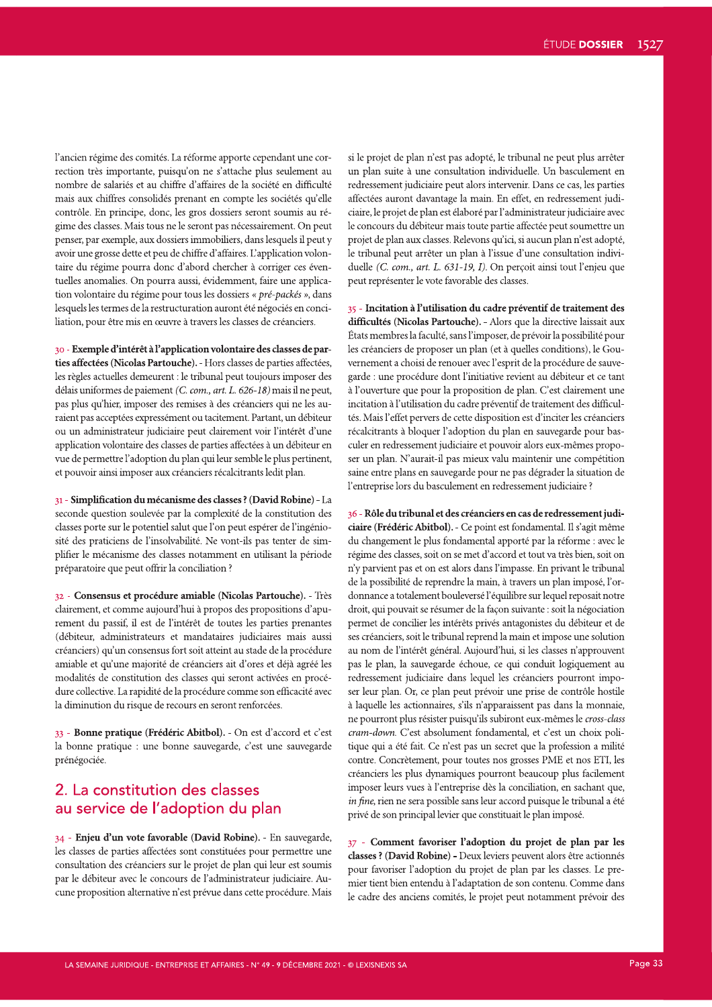l'ancien régime des comités. La réforme apporte cependant une correction très importante, puisqu'on ne s'attache plus seulement au nombre de salariés et au chiffre d'affaires de la société en difficulté mais aux chiffres consolidés prenant en compte les sociétés qu'elle contrôle. En principe, donc, les gros dossiers seront soumis au régime des classes. Mais tous ne le seront pas nécessairement. On peut penser, par exemple, aux dossiers immobiliers, dans lesquels il peut y avoir une grosse dette et peu de chiffre d'affaires. L'application volontaire du régime pourra donc d'abord chercher à corriger ces éventuelles anomalies. On pourra aussi, évidemment, faire une application volontaire du régime pour tous les dossiers « pré-packés », dans lesquels les termes de la restructuration auront été négociés en conciliation, pour être mis en œuvre à travers les classes de créanciers.

30 - Exemple d'intérêt à l'application volontaire des classes de parties affectées (Nicolas Partouche). - Hors classes de parties affectées, les règles actuelles demeurent : le tribunal peut toujours imposer des délais uniformes de paiement (C. com., art. L. 626-18) mais il ne peut, pas plus qu'hier, imposer des remises à des créanciers qui ne les auraient pas acceptées expressément ou tacitement. Partant, un débiteur ou un administrateur judiciaire peut clairement voir l'intérêt d'une application volontaire des classes de parties affectées à un débiteur en vue de permettre l'adoption du plan qui leur semble le plus pertinent, et pouvoir ainsi imposer aux créanciers récalcitrants ledit plan.

31 - Simplification du mécanisme des classes ? (David Robine) - La seconde question soulevée par la complexité de la constitution des classes porte sur le potentiel salut que l'on peut espérer de l'ingéniosité des praticiens de l'insolvabilité. Ne vont-ils pas tenter de simplifier le mécanisme des classes notamment en utilisant la période préparatoire que peut offrir la conciliation ?

32 - Consensus et procédure amiable (Nicolas Partouche). - Très clairement, et comme aujourd'hui à propos des propositions d'apurement du passif, il est de l'intérêt de toutes les parties prenantes (débiteur, administrateurs et mandataires judiciaires mais aussi créanciers) qu'un consensus fort soit atteint au stade de la procédure amiable et qu'une majorité de créanciers ait d'ores et déjà agréé les modalités de constitution des classes qui seront activées en procédure collective. La rapidité de la procédure comme son efficacité avec la diminution du risque de recours en seront renforcées.

33 - Bonne pratique (Frédéric Abitbol). - On est d'accord et c'est la bonne pratique : une bonne sauvegarde, c'est une sauvegarde prénégociée.

## 2. La constitution des classes au service de l'adoption du plan

34 - Enjeu d'un vote favorable (David Robine). - En sauvegarde, les classes de parties affectées sont constituées pour permettre une consultation des créanciers sur le projet de plan qui leur est soumis par le débiteur avec le concours de l'administrateur judiciaire. Aucune proposition alternative n'est prévue dans cette procédure. Mais

si le projet de plan n'est pas adopté, le tribunal ne peut plus arrêter un plan suite à une consultation individuelle. Un basculement en redressement judiciaire peut alors intervenir. Dans ce cas, les parties affectées auront davantage la main. En effet, en redressement judiciaire, le projet de plan est élaboré par l'administrateur judiciaire avec le concours du débiteur mais toute partie affectée peut soumettre un projet de plan aux classes. Relevons qu'ici, si aucun plan n'est adopté, le tribunal peut arrêter un plan à l'issue d'une consultation individuelle (C. com., art. L. 631-19, I). On perçoit ainsi tout l'enjeu que peut représenter le vote favorable des classes.

35 - Incitation à l'utilisation du cadre préventif de traitement des difficultés (Nicolas Partouche). - Alors que la directive laissait aux États membres la faculté, sans l'imposer, de prévoir la possibilité pour les créanciers de proposer un plan (et à quelles conditions), le Gouvernement a choisi de renouer avec l'esprit de la procédure de sauvegarde : une procédure dont l'initiative revient au débiteur et ce tant à l'ouverture que pour la proposition de plan. C'est clairement une incitation à l'utilisation du cadre préventif de traitement des difficultés. Mais l'effet pervers de cette disposition est d'inciter les créanciers récalcitrants à bloquer l'adoption du plan en sauvegarde pour basculer en redressement judiciaire et pouvoir alors eux-mêmes proposer un plan. N'aurait-il pas mieux valu maintenir une compétition saine entre plans en sauvegarde pour ne pas dégrader la situation de l'entreprise lors du basculement en redressement judiciaire ?

36 - Rôle du tribunal et des créanciers en cas de redressement judiciaire (Frédéric Abitbol). - Ce point est fondamental. Il s'agit même du changement le plus fondamental apporté par la réforme : avec le régime des classes, soit on se met d'accord et tout va très bien, soit on n'y parvient pas et on est alors dans l'impasse. En privant le tribunal de la possibilité de reprendre la main, à travers un plan imposé, l'ordonnance a totalement bouleversé l'équilibre sur lequel reposait notre droit, qui pouvait se résumer de la façon suivante : soit la négociation permet de concilier les intérêts privés antagonistes du débiteur et de ses créanciers, soit le tribunal reprend la main et impose une solution au nom de l'intérêt général. Aujourd'hui, si les classes n'approuvent pas le plan, la sauvegarde échoue, ce qui conduit logiquement au redressement judiciaire dans lequel les créanciers pourront imposer leur plan. Or, ce plan peut prévoir une prise de contrôle hostile à laquelle les actionnaires, s'ils n'apparaissent pas dans la monnaie, ne pourront plus résister puisqu'ils subiront eux-mêmes le *cross-class* cram-down. C'est absolument fondamental, et c'est un choix politique qui a été fait. Ce n'est pas un secret que la profession a milité contre. Concrètement, pour toutes nos grosses PME et nos ETI, les créanciers les plus dynamiques pourront beaucoup plus facilement imposer leurs vues à l'entreprise dès la conciliation, en sachant que, in fine, rien ne sera possible sans leur accord puisque le tribunal a été privé de son principal levier que constituait le plan imposé.

37 - Comment favoriser l'adoption du projet de plan par les classes ? (David Robine) - Deux leviers peuvent alors être actionnés pour favoriser l'adoption du projet de plan par les classes. Le premier tient bien entendu à l'adaptation de son contenu. Comme dans le cadre des anciens comités, le projet peut notamment prévoir des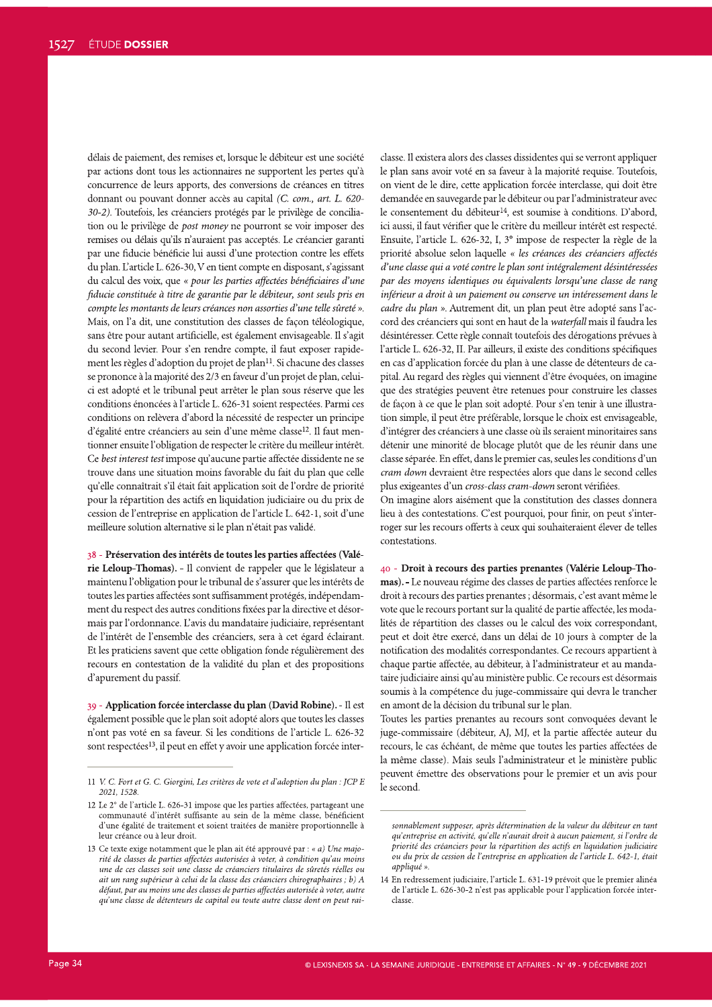délais de paiement, des remises et, lorsque le débiteur est une société par actions dont tous les actionnaires ne supportent les pertes qu'à concurrence de leurs apports, des conversions de créances en titres donnant ou pouvant donner accès au capital (C. com., art. L. 620-30-2). Toutefois, les créanciers protégés par le privilège de conciliation ou le privilège de *post money* ne pourront se voir imposer des remises ou délais qu'ils n'auraient pas acceptés. Le créancier garanti par une fiducie bénéficie lui aussi d'une protection contre les effets du plan. L'article L. 626-30, V en tient compte en disposant, s'agissant du calcul des voix, que « pour les parties affectées bénéficiaires d'une fiducie constituée à titre de garantie par le débiteur, sont seuls pris en compte les montants de leurs créances non assorties d'une telle sûreté ». Mais, on l'a dit, une constitution des classes de façon téléologique, sans être pour autant artificielle, est également envisageable. Il s'agit du second levier. Pour s'en rendre compte, il faut exposer rapidement les règles d'adoption du projet de plan<sup>11</sup>. Si chacune des classes se prononce à la majorité des 2/3 en faveur d'un projet de plan, celuici est adopté et le tribunal peut arrêter le plan sous réserve que les conditions énoncées à l'article L. 626-31 soient respectées. Parmi ces conditions on relèvera d'abord la nécessité de respecter un principe d'égalité entre créanciers au sein d'une même classe<sup>12</sup>. Il faut mentionner ensuite l'obligation de respecter le critère du meilleur intérêt. Ce best interest test impose qu'aucune partie affectée dissidente ne se trouve dans une situation moins favorable du fait du plan que celle qu'elle connaîtrait s'il était fait application soit de l'ordre de priorité pour la répartition des actifs en liquidation judiciaire ou du prix de cession de l'entreprise en application de l'article L. 642-1, soit d'une meilleure solution alternative si le plan n'était pas validé.

#### 38 - Préservation des intérêts de toutes les parties affectées (Valé-

rie Leloup-Thomas). - Il convient de rappeler que le législateur a maintenu l'obligation pour le tribunal de s'assurer que les intérêts de toutes les parties affectées sont suffisamment protégés, indépendamment du respect des autres conditions fixées par la directive et désormais par l'ordonnance. L'avis du mandataire judiciaire, représentant de l'intérêt de l'ensemble des créanciers, sera à cet égard éclairant. Et les praticiens savent que cette obligation fonde régulièrement des recours en contestation de la validité du plan et des propositions d'apurement du passif.

39 - Application forcée interclasse du plan (David Robine). - Il est également possible que le plan soit adopté alors que toutes les classes n'ont pas voté en sa faveur. Si les conditions de l'article L. 626-32 sont respectées<sup>13</sup>, il peut en effet y avoir une application forcée interclasse. Il existera alors des classes dissidentes qui se verront appliquer le plan sans avoir voté en sa faveur à la majorité requise. Toutefois, on vient de le dire, cette application forcée interclasse, qui doit être demandée en sauvegarde par le débiteur ou par l'administrateur avec le consentement du débiteur<sup>14</sup>, est soumise à conditions. D'abord, ici aussi, il faut vérifier que le critère du meilleur intérêt est respecté. Ensuite, l'article L. 626-32, I, 3° impose de respecter la règle de la priorité absolue selon laquelle « les créances des créanciers affectés d'une classe qui a voté contre le plan sont intégralement désintéressées par des moyens identiques ou équivalents lorsqu'une classe de rang inférieur a droit à un paiement ou conserve un intéressement dans le cadre du plan ». Autrement dit, un plan peut être adopté sans l'accord des créanciers qui sont en haut de la waterfall mais il faudra les désintéresser. Cette règle connaît toutefois des dérogations prévues à l'article L. 626-32, II. Par ailleurs, il existe des conditions spécifiques en cas d'application forcée du plan à une classe de détenteurs de capital. Au regard des règles qui viennent d'être évoquées, on imagine que des stratégies peuvent être retenues pour construire les classes de façon à ce que le plan soit adopté. Pour s'en tenir à une illustration simple, il peut être préférable, lorsque le choix est envisageable, d'intégrer des créanciers à une classe où ils seraient minoritaires sans détenir une minorité de blocage plutôt que de les réunir dans une classe séparée. En effet, dans le premier cas, seules les conditions d'un cram down devraient être respectées alors que dans le second celles plus exigeantes d'un cross-class cram-down seront vérifiées.

On imagine alors aisément que la constitution des classes donnera lieu à des contestations. C'est pourquoi, pour finir, on peut s'interroger sur les recours offerts à ceux qui souhaiteraient élever de telles contestations.

40 - Droit à recours des parties prenantes (Valérie Leloup-Thomas). - Le nouveau régime des classes de parties affectées renforce le droit à recours des parties prenantes ; désormais, c'est avant même le vote que le recours portant sur la qualité de partie affectée, les modalités de répartition des classes ou le calcul des voix correspondant, peut et doit être exercé, dans un délai de 10 jours à compter de la notification des modalités correspondantes. Ce recours appartient à chaque partie affectée, au débiteur, à l'administrateur et au mandataire judiciaire ainsi qu'au ministère public. Ce recours est désormais soumis à la compétence du juge-commissaire qui devra le trancher en amont de la décision du tribunal sur le plan.

Toutes les parties prenantes au recours sont convoquées devant le juge-commissaire (débiteur, AJ, MJ, et la partie affectée auteur du recours, le cas échéant, de même que toutes les parties affectées de la même classe). Mais seuls l'administrateur et le ministère public peuvent émettre des observations pour le premier et un avis pour le second.

<sup>11</sup> V. C. Fort et G. C. Giorgini, Les critères de vote et d'adoption du plan : JCP E 2021, 1528

<sup>12</sup> Le 2° de l'article L. 626-31 impose que les parties affectées, partageant une communauté d'intérêt suffisante au sein de la même classe, bénéficient d'une égalité de traitement et soient traitées de manière proportionnelle à leur créance ou à leur droit.

<sup>13</sup> Ce texte exige notamment que le plan ait été approuvé par : « a) Une majorité de classes de parties affectées autorisées à voter, à condition qu'au moins une de ces classes soit une classe de créanciers titulaires de sûretés réelles ou ait un rang supérieur à celui de la classe des créanciers chirographaires ; b) A défaut, par au moins une des classes de parties affectées autorisée à voter, autre au'une classe de détenteurs de capital ou toute autre classe dont on peut rai-

sonnablement supposer, après détermination de la valeur du débiteur en tant qu'entreprise en activité, qu'elle n'aurait droit à aucun paiement, si l'ordre de priorité des créanciers pour la répartition des actifs en liquidation judiciaire ou du prix de cession de l'entreprise en application de l'article L. 642-1, était appliqué ».

<sup>14</sup> En redressement judiciaire, l'article L. 631-19 prévoit que le premier alinéa de l'article L. 626-30-2 n'est pas applicable pour l'application forcée interclasse